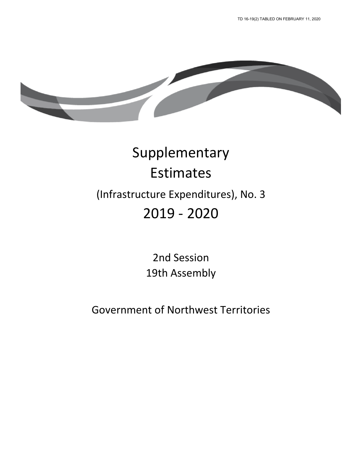

# Supplementary Estimates (Infrastructure Expenditures), No. 3 2019 - 2020

2nd Session 19th Assembly

Government of Northwest Territories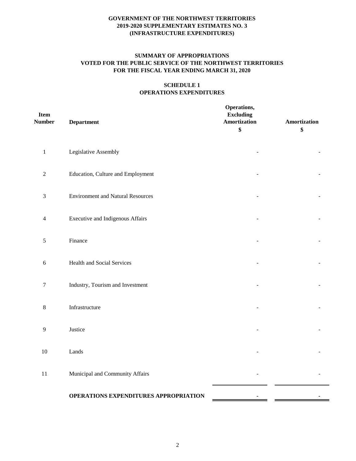## **SUMMARY OF APPROPRIATIONS VOTED FOR THE PUBLIC SERVICE OF THE NORTHWEST TERRITORIES FOR THE FISCAL YEAR ENDING MARCH 31, 2020**

#### **SCHEDULE 1 OPERATIONS EXPENDITURES**

| Item<br><b>Number</b>    | <b>Department</b>                        | Operations,<br><b>Excluding</b><br><b>Amortization</b><br>\$ | Amortization<br>\$ |
|--------------------------|------------------------------------------|--------------------------------------------------------------|--------------------|
| $\,1\,$                  | Legislative Assembly                     |                                                              |                    |
| $\sqrt{2}$               | Education, Culture and Employment        |                                                              |                    |
| $\mathfrak{Z}$           | <b>Environment and Natural Resources</b> |                                                              |                    |
| $\overline{\mathcal{L}}$ | <b>Executive and Indigenous Affairs</b>  |                                                              |                    |
| $\mathfrak s$            | Finance                                  |                                                              |                    |
| $\sqrt{6}$               | Health and Social Services               |                                                              |                    |
| $\boldsymbol{7}$         | Industry, Tourism and Investment         |                                                              |                    |
| $8\,$                    | Infrastructure                           |                                                              |                    |
| 9                        | Justice                                  |                                                              |                    |
| $10\,$                   | Lands                                    |                                                              |                    |
| $11\,$                   | Municipal and Community Affairs          |                                                              |                    |
|                          | OPERATIONS EXPENDITURES APPROPRIATION    |                                                              |                    |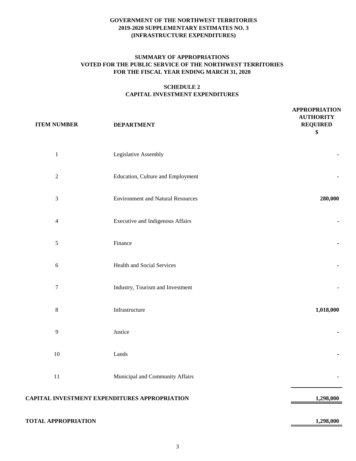#### **SUMMARY OF APPROPRIATIONS VOTED FOR THE PUBLIC SERVICE OF THE NORTHWEST TERRITORIES FOR THE FISCAL YEAR ENDING MARCH 31, 2020**

# **SCHEDULE 2 CAPITAL INVESTMENT EXPENDITURES**

| <b>ITEM NUMBER</b>          | <b>DEPARTMENT</b>                                    | <b>APPROPRIATION</b><br><b>AUTHORITY</b><br><b>REQUIRED</b><br>\$ |
|-----------------------------|------------------------------------------------------|-------------------------------------------------------------------|
| $\mathbf 1$                 | Legislative Assembly                                 |                                                                   |
| $\sqrt{2}$                  | Education, Culture and Employment                    |                                                                   |
| $\ensuremath{\mathfrak{Z}}$ | <b>Environment and Natural Resources</b>             | 280,000                                                           |
| $\overline{4}$              | <b>Executive and Indigenous Affairs</b>              |                                                                   |
| $\mathfrak s$               | Finance                                              |                                                                   |
| $\sqrt{6}$                  | <b>Health and Social Services</b>                    |                                                                   |
| $\boldsymbol{7}$            | Industry, Tourism and Investment                     |                                                                   |
| $\,8\,$                     | Infrastructure                                       | 1,018,000                                                         |
| $\mathbf{9}$                | Justice                                              |                                                                   |
| $10\,$                      | Lands                                                |                                                                   |
| $11\,$                      | Municipal and Community Affairs                      |                                                                   |
|                             | <b>CAPITAL INVESTMENT EXPENDITURES APPROPRIATION</b> | 1,298,000                                                         |
| <b>TOTAL APPROPRIATION</b>  |                                                      | 1,298,000                                                         |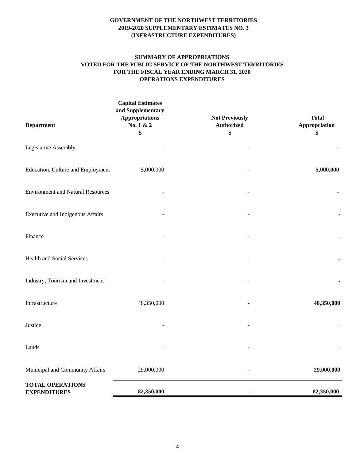#### **SUMMARY OF APPROPRIATIONS VOTED FOR THE PUBLIC SERVICE OF THE NORTHWEST TERRITORIES FOR THE FISCAL YEAR ENDING MARCH 31, 2020 OPERATIONS EXPENDITURES**

| <b>Department</b>                              | <b>Capital Estimates</b><br>and Supplementary<br><b>Appropriations</b><br>No. 1 & 2<br>\$ | <b>Not Previously</b><br><b>Authorized</b><br>\$ | <b>Total</b><br>Appropriation<br>\$ |
|------------------------------------------------|-------------------------------------------------------------------------------------------|--------------------------------------------------|-------------------------------------|
| Legislative Assembly                           |                                                                                           |                                                  |                                     |
| Education, Culture and Employment              | 5,000,000                                                                                 |                                                  | 5,000,000                           |
| <b>Environment and Natural Resources</b>       |                                                                                           |                                                  |                                     |
| <b>Executive and Indigenous Affairs</b>        |                                                                                           |                                                  |                                     |
| Finance                                        |                                                                                           |                                                  |                                     |
| Health and Social Services                     |                                                                                           |                                                  |                                     |
| Industry, Tourism and Investment               |                                                                                           |                                                  |                                     |
| Infrastructure                                 | 48,350,000                                                                                |                                                  | 48,350,000                          |
| Justice                                        |                                                                                           |                                                  |                                     |
| Lands                                          |                                                                                           |                                                  |                                     |
| Municipal and Community Affairs                | 29,000,000                                                                                |                                                  | 29,000,000                          |
| <b>TOTAL OPERATIONS</b><br><b>EXPENDITURES</b> | 82,350,000                                                                                |                                                  | 82,350,000                          |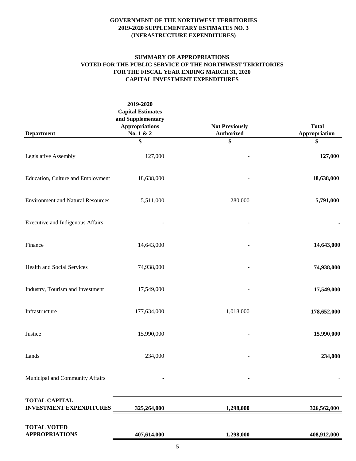# **SUMMARY OF APPROPRIATIONS VOTED FOR THE PUBLIC SERVICE OF THE NORTHWEST TERRITORIES FOR THE FISCAL YEAR ENDING MARCH 31, 2020 CAPITAL INVESTMENT EXPENDITURES**

|                                                        | 2019-2020<br><b>Capital Estimates</b><br>and Supplementary<br><b>Appropriations</b> | <b>Not Previously</b> | <b>Total</b>  |
|--------------------------------------------------------|-------------------------------------------------------------------------------------|-----------------------|---------------|
| <b>Department</b>                                      | No. 1 & 2                                                                           | <b>Authorized</b>     | Appropriation |
|                                                        | \$                                                                                  | \$                    | \$            |
| Legislative Assembly                                   | 127,000                                                                             |                       | 127,000       |
| Education, Culture and Employment                      | 18,638,000                                                                          |                       | 18,638,000    |
| <b>Environment and Natural Resources</b>               | 5,511,000                                                                           | 280,000               | 5,791,000     |
| Executive and Indigenous Affairs                       |                                                                                     |                       |               |
| Finance                                                | 14,643,000                                                                          |                       | 14,643,000    |
| Health and Social Services                             | 74,938,000                                                                          |                       | 74,938,000    |
| Industry, Tourism and Investment                       | 17,549,000                                                                          |                       | 17,549,000    |
| Infrastructure                                         | 177,634,000                                                                         | 1,018,000             | 178,652,000   |
| Justice                                                | 15,990,000                                                                          |                       | 15,990,000    |
| Lands                                                  | 234,000                                                                             |                       | 234,000       |
| Municipal and Community Affairs                        |                                                                                     |                       |               |
| <b>TOTAL CAPITAL</b><br><b>INVESTMENT EXPENDITURES</b> | 325,264,000                                                                         | 1,298,000             | 326,562,000   |
| <b>TOTAL VOTED</b><br><b>APPROPRIATIONS</b>            | 407,614,000                                                                         | 1,298,000             | 408,912,000   |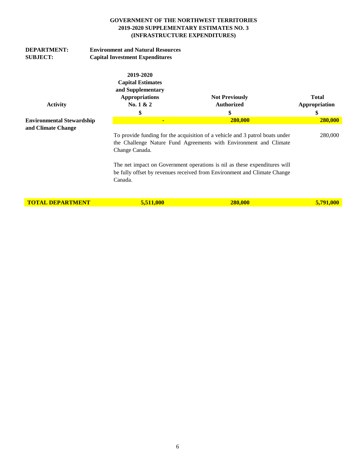| <b>DEPARTMENT:</b><br><b>SUBJECT:</b>                                               | <b>Environment and Natural Resources</b><br><b>Capital Investment Expenditures</b> |                                                                                                                                                                                                                                                  |                                            |                               |
|-------------------------------------------------------------------------------------|------------------------------------------------------------------------------------|--------------------------------------------------------------------------------------------------------------------------------------------------------------------------------------------------------------------------------------------------|--------------------------------------------|-------------------------------|
| <b>Activity</b>                                                                     |                                                                                    | 2019-2020<br><b>Capital Estimates</b><br>and Supplementary<br><b>Appropriations</b><br>No. $1 & 2$                                                                                                                                               | <b>Not Previously</b><br><b>Authorized</b> | <b>Total</b><br>Appropriation |
| <b>Environmental Stewardship</b>                                                    |                                                                                    | \$<br>$\blacksquare$                                                                                                                                                                                                                             | \$<br>280,000                              | \$<br>280,000                 |
| and Climate Change                                                                  |                                                                                    |                                                                                                                                                                                                                                                  |                                            |                               |
|                                                                                     |                                                                                    | To provide funding for the acquisition of a vehicle and 3 patrol boats under<br>the Challenge Nature Fund Agreements with Environment and Climate<br>Change Canada.<br>The net impact on Government operations is nil as these expenditures will | 280,000                                    |                               |
| be fully offset by revenues received from Environment and Climate Change<br>Canada. |                                                                                    |                                                                                                                                                                                                                                                  |                                            |                               |
| <b>TOTAL DEPARTMENT</b>                                                             |                                                                                    | 5,511,000                                                                                                                                                                                                                                        | 280,000                                    | 5,791,000                     |